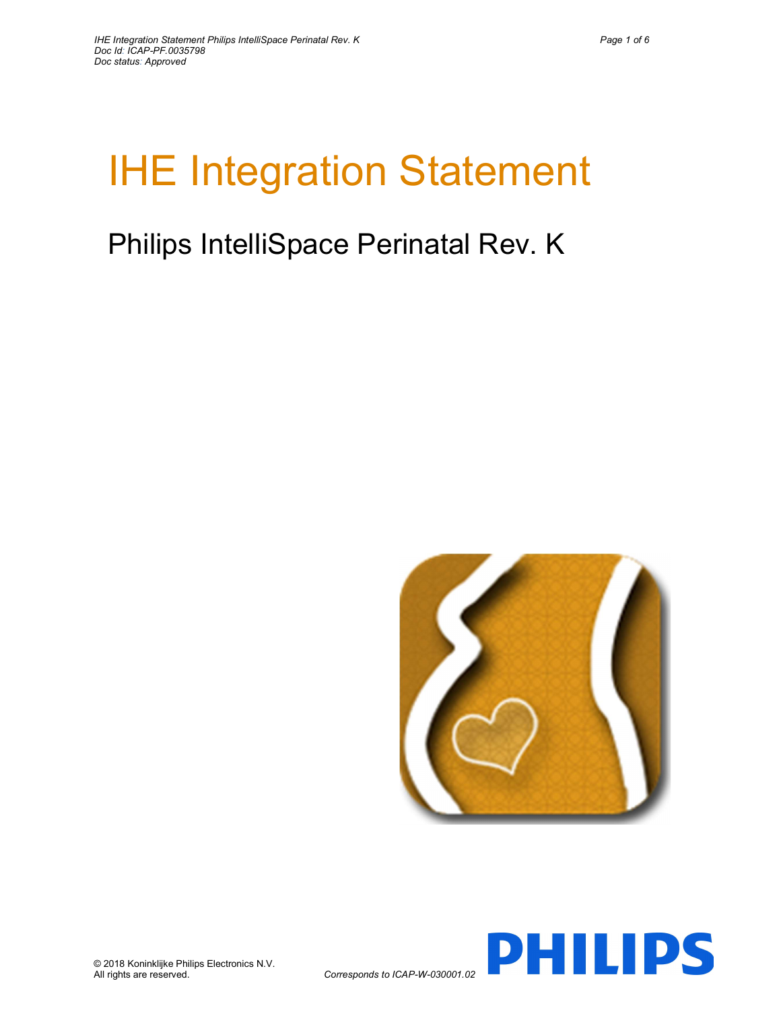# IHE Integration Statement

# Philips IntelliSpace Perinatal Rev. K



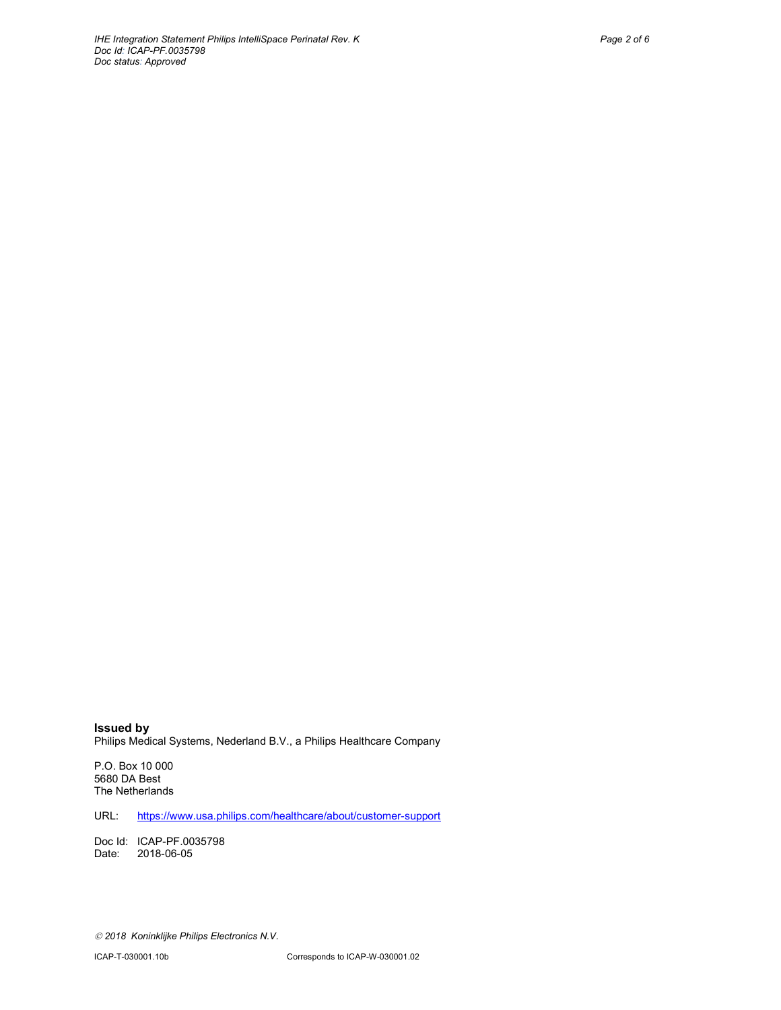Issued by Philips Medical Systems, Nederland B.V., a Philips Healthcare Company

P.O. Box 10 000 5680 DA Best The Netherlands

URL: https://www.usa.philips.com/healthcare/about/customer-support

Doc Id: ICAP-PF.0035798 Date: 2018-06-05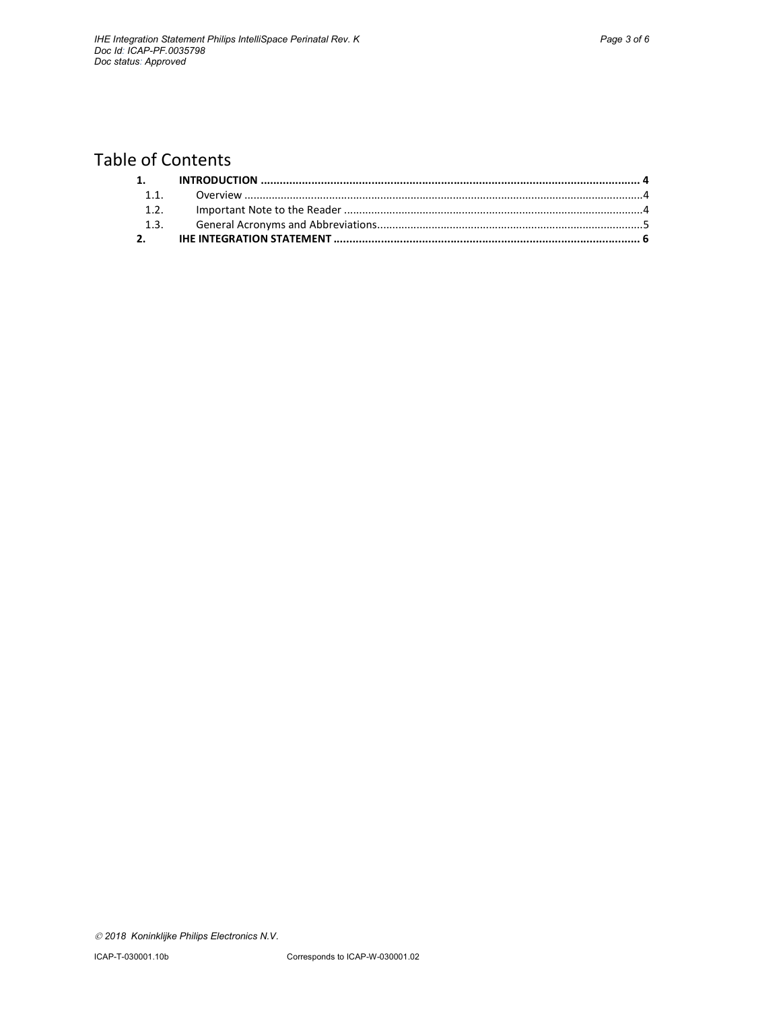# Table of Contents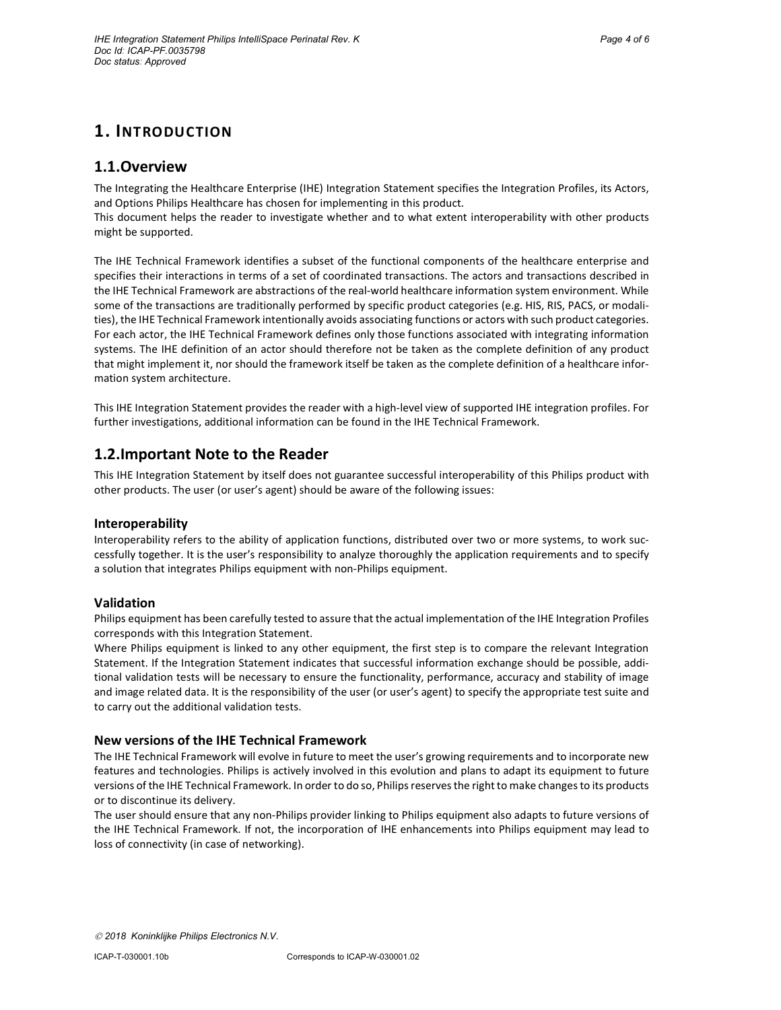# 1. INTRODUCTION

#### 1.1.Overview

The Integrating the Healthcare Enterprise (IHE) Integration Statement specifies the Integration Profiles, its Actors, and Options Philips Healthcare has chosen for implementing in this product.

This document helps the reader to investigate whether and to what extent interoperability with other products might be supported.

The IHE Technical Framework identifies a subset of the functional components of the healthcare enterprise and specifies their interactions in terms of a set of coordinated transactions. The actors and transactions described in the IHE Technical Framework are abstractions of the real-world healthcare information system environment. While some of the transactions are traditionally performed by specific product categories (e.g. HIS, RIS, PACS, or modalities), the IHE Technical Framework intentionally avoids associating functions or actors with such product categories. For each actor, the IHE Technical Framework defines only those functions associated with integrating information systems. The IHE definition of an actor should therefore not be taken as the complete definition of any product that might implement it, nor should the framework itself be taken as the complete definition of a healthcare information system architecture.

This IHE Integration Statement provides the reader with a high-level view of supported IHE integration profiles. For further investigations, additional information can be found in the IHE Technical Framework.

### 1.2.Important Note to the Reader

This IHE Integration Statement by itself does not guarantee successful interoperability of this Philips product with other products. The user (or user's agent) should be aware of the following issues:

#### Interoperability

Interoperability refers to the ability of application functions, distributed over two or more systems, to work successfully together. It is the user's responsibility to analyze thoroughly the application requirements and to specify a solution that integrates Philips equipment with non-Philips equipment.

#### Validation

Philips equipment has been carefully tested to assure that the actual implementation of the IHE Integration Profiles corresponds with this Integration Statement.

Where Philips equipment is linked to any other equipment, the first step is to compare the relevant Integration Statement. If the Integration Statement indicates that successful information exchange should be possible, additional validation tests will be necessary to ensure the functionality, performance, accuracy and stability of image and image related data. It is the responsibility of the user (or user's agent) to specify the appropriate test suite and to carry out the additional validation tests.

#### New versions of the IHE Technical Framework

The IHE Technical Framework will evolve in future to meet the user's growing requirements and to incorporate new features and technologies. Philips is actively involved in this evolution and plans to adapt its equipment to future versions of the IHE Technical Framework. In order to do so, Philips reserves the right to make changes to its products or to discontinue its delivery.

The user should ensure that any non-Philips provider linking to Philips equipment also adapts to future versions of the IHE Technical Framework. If not, the incorporation of IHE enhancements into Philips equipment may lead to loss of connectivity (in case of networking).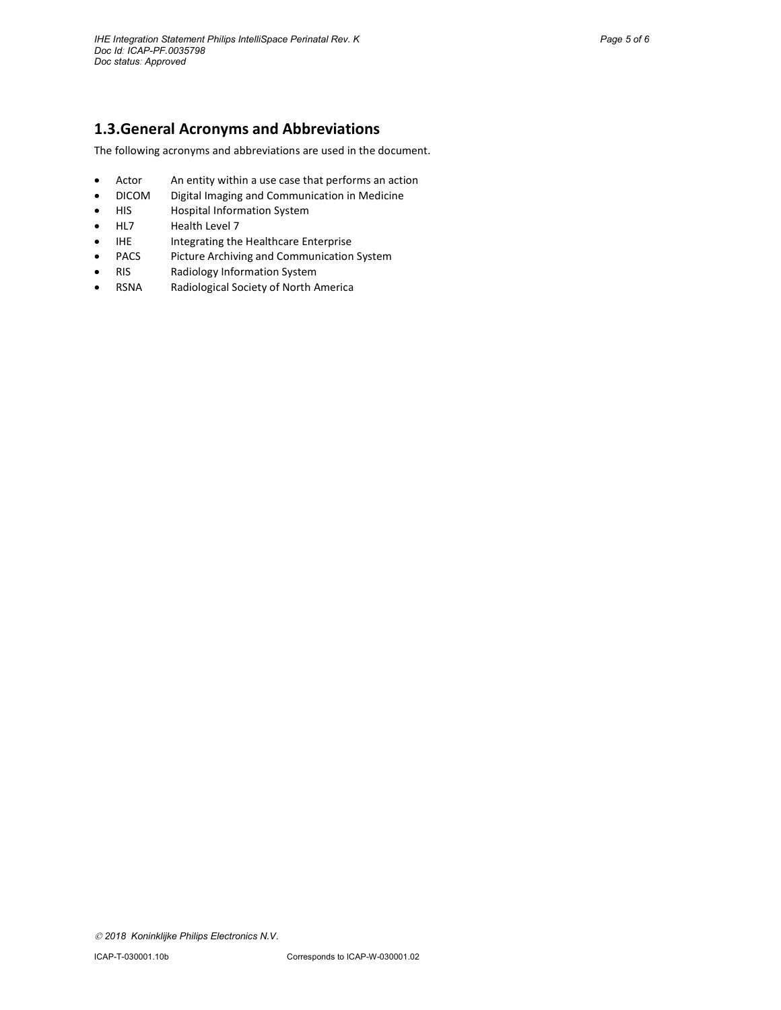# 1.3.General Acronyms and Abbreviations

The following acronyms and abbreviations are used in the document.

- Actor An entity within a use case that performs an action
- DICOM Digital Imaging and Communication in Medicine
- HIS Hospital Information System
- HL7 Health Level 7
- IHE Integrating the Healthcare Enterprise
- PACS Picture Archiving and Communication System
- RIS Radiology Information System
- RSNA Radiological Society of North America